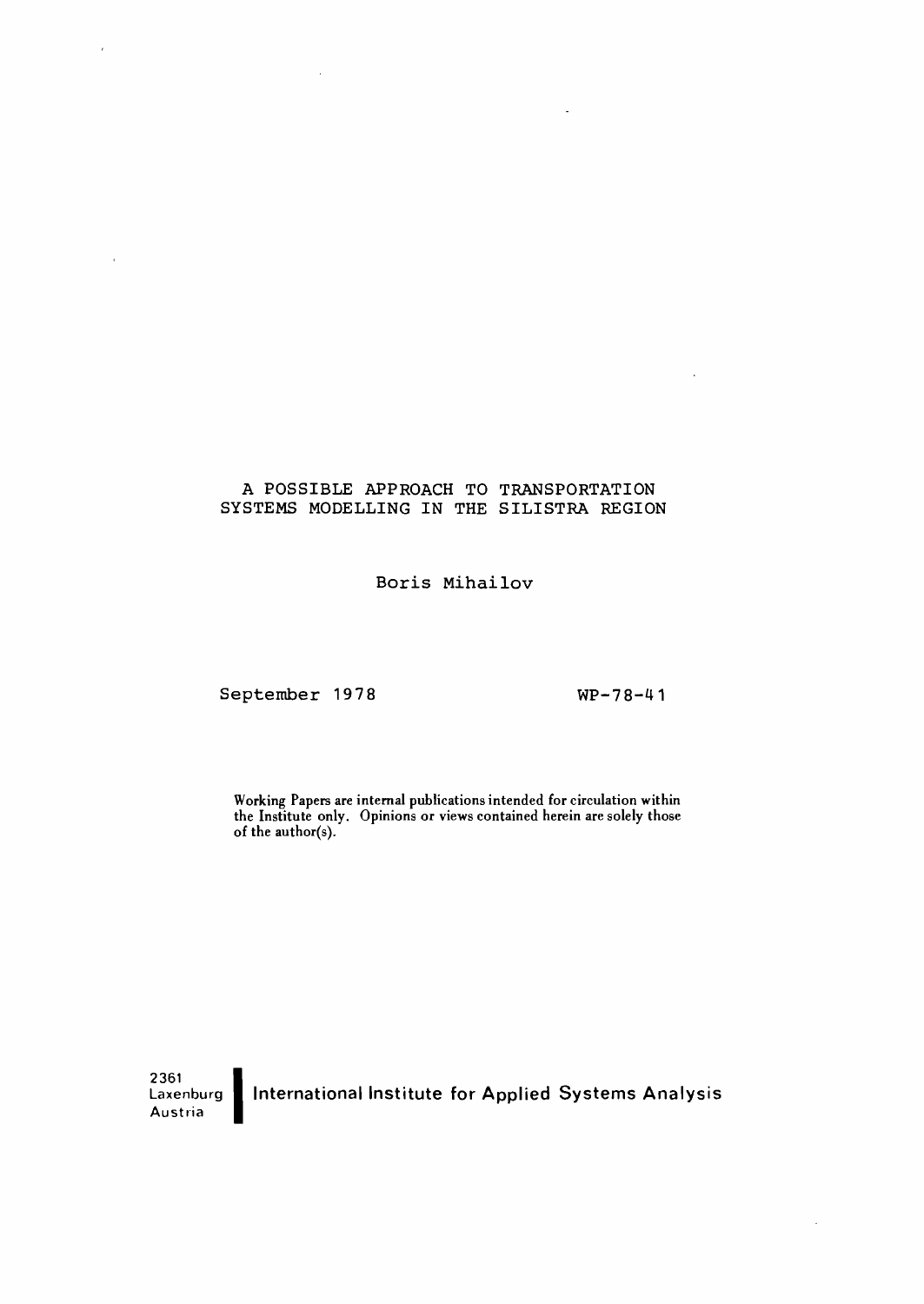### A POSSIBLE APPROACH TO TRANSPORTATION SYSTEMS MODELLING IN THE SILISTRA REGION

Boris Mihailov

September 1978 WP-78-41

 $\bar{a}$ 

Working Papers are internal publications intended for circulation within the Institute only. Opinions or views contained herein are solely those of the author(s).

oussed II<br>Laxenburg **1**<br>Laxenburg 1 International Institute for Applied Systems Analysis Austria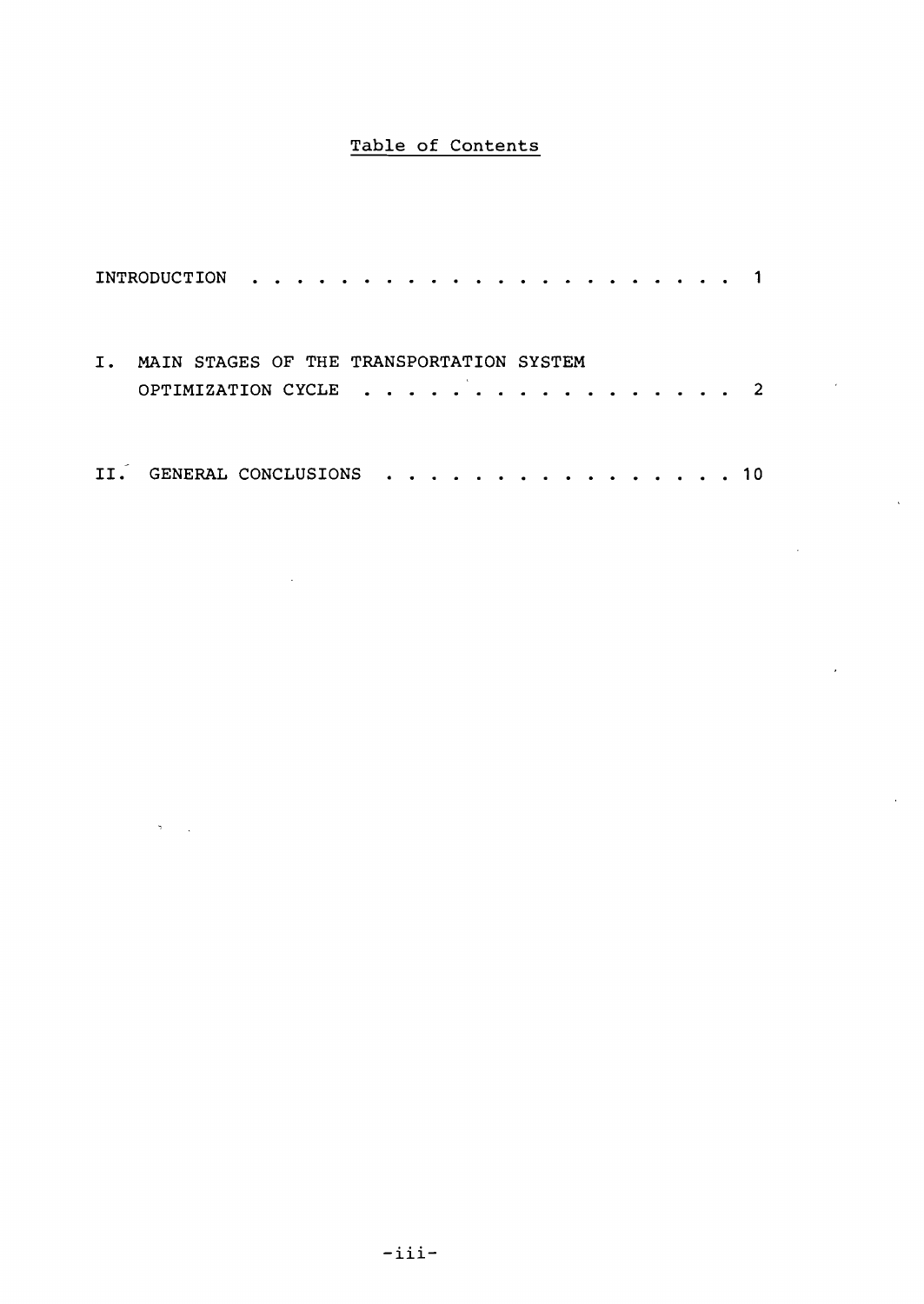## Table of Contents

|    | INTRODUCTION                                                                                                                                                                   | .         |
|----|--------------------------------------------------------------------------------------------------------------------------------------------------------------------------------|-----------|
| Ι. | MAIN STAGES OF THE TRANSPORTATION SYSTEM<br>OPTIMIZATION CYCLE                                                                                                                 |           |
|    | GENERAL CONCLUSIONS<br>$\begin{array}{cccccccccccccc} \bullet & \bullet & \bullet & \bullet & \bullet & \bullet & \bullet & \bullet & \bullet & \bullet & \bullet \end{array}$ | .<br>า ด. |

 $\sim 10^{-1}$ 

 $\sigma_{\rm{max}}$ 

 $\mathcal{L}$ 

 $\overline{a}$ 

 $\mathbb{R}^2$ 

 $\langle \cdot, \cdot \rangle$ 

 $\hat{\mathcal{A}}$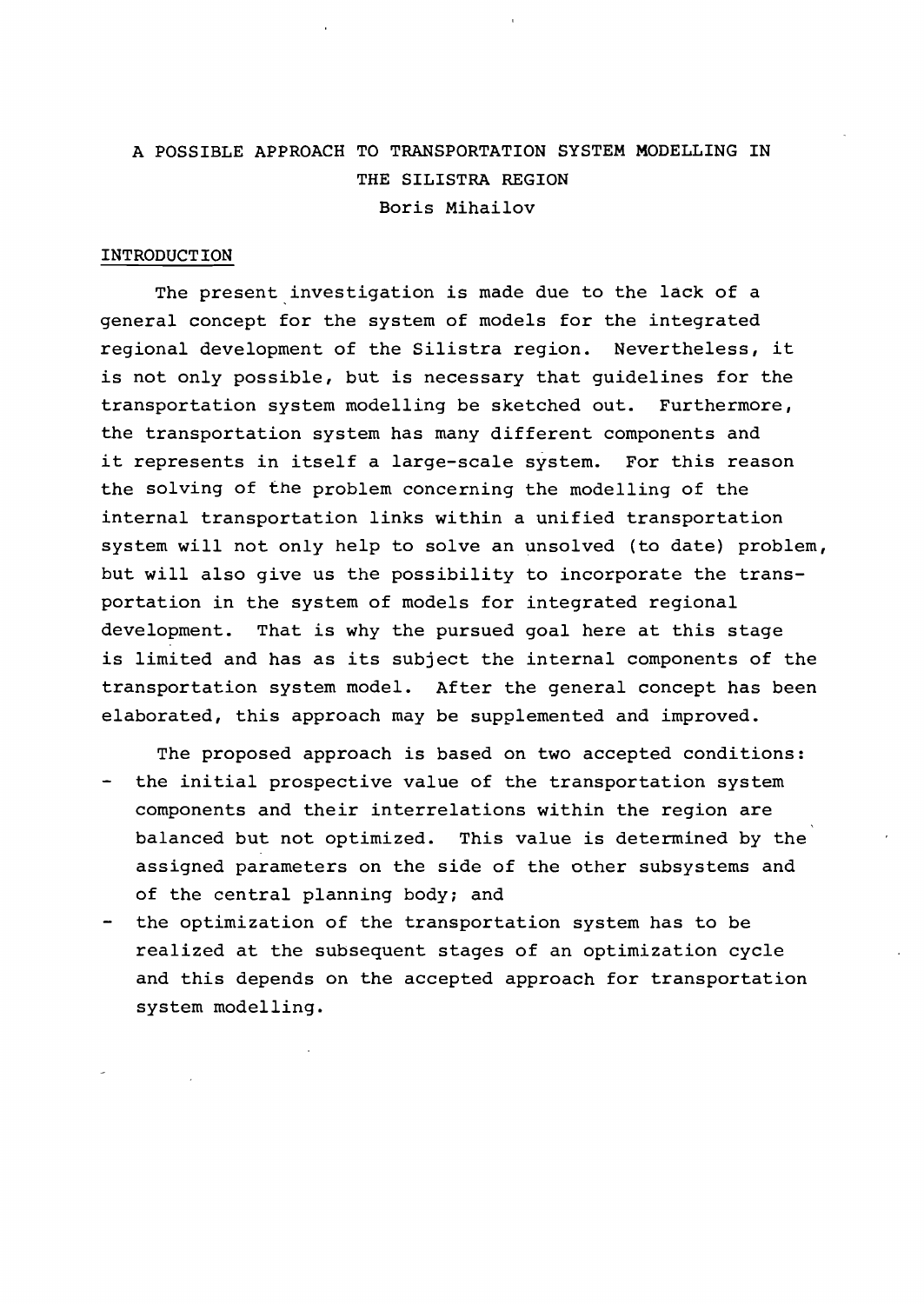# A POSSIBLE APPROACH TO TRANSPORTATION SYSTEM MODELLING IN THE SILISTRA REGION Boris Mihailov

### INTRODUCTION

The present investigation is made due to the lack of <sup>a</sup> general concept for the system of models for the integrated regional development of the Silistra region. Nevertheless, it is not only possible, but is necessary that guidelines for the transportation system modelling be sketched out. Furthermore, the transportation system has many different components and it represents in itself <sup>a</sup> large-scale system. For this reason the solving of the problem concerning the modelling of the internal transportation links within a unified transportation system will not only help to solve an unsolved (to date) problem, but will also give us the possibility to incorporate the transportation in the system of models for integrated regional development. That is why the pursued goal here at this stage is limited and has as its subject the internal components of the transportation system model. After the general concept has been elaborated, this approach may be supplemented and improved.

The proposed approach is based on two accepted conditions:

- the initial prospective value of the transportation system components and their interrelations within the region are balanced but not optimized. This value is determined by the assigned parameters on the side of the other subsystems and of the central planning body; and
- the optimization of the transportation system has to be realized at the subsequent stages of an optimization cycle and this depends on the accepted approach for transportation system modelling.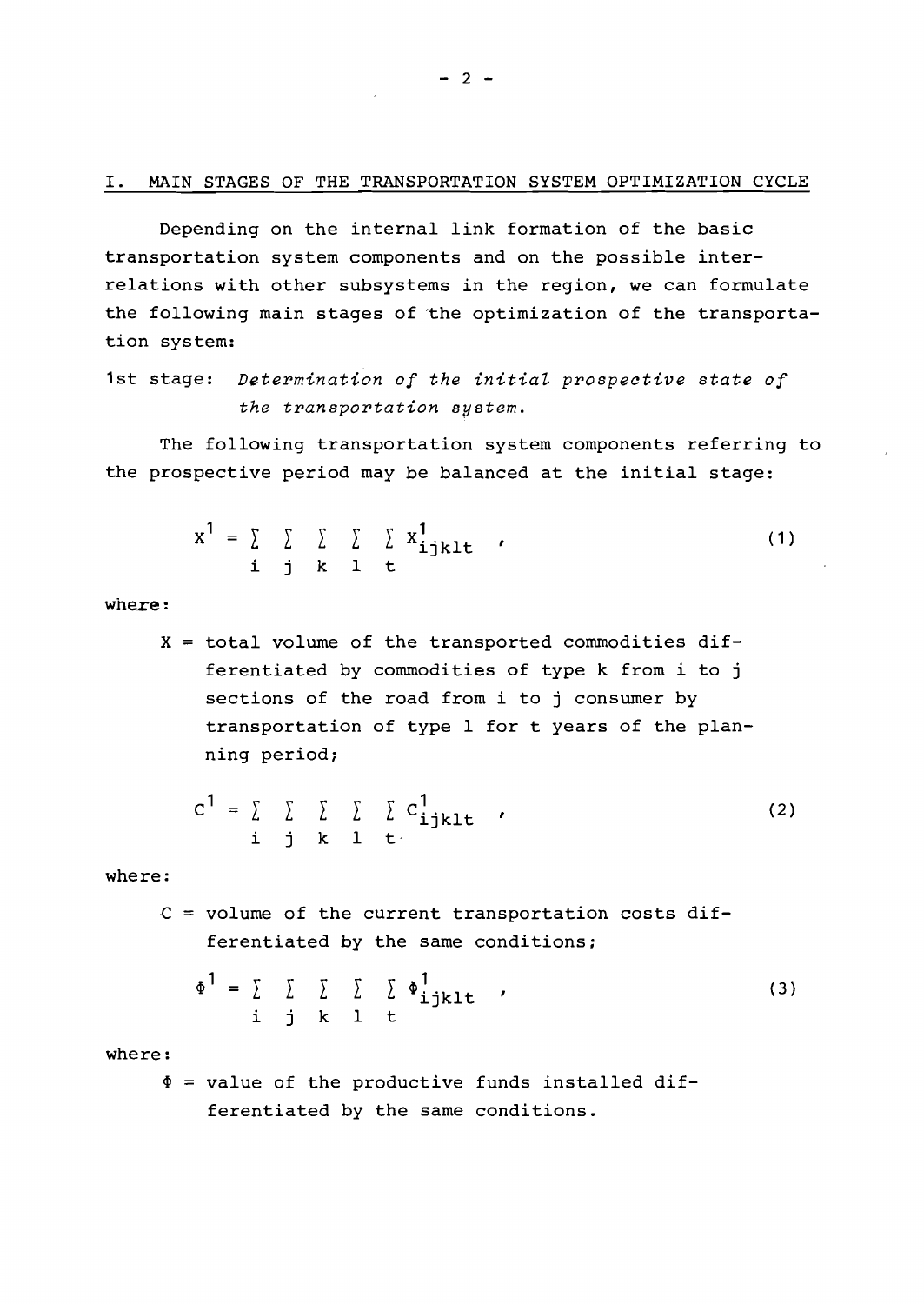Depending on the internal link formation of the basic transportation system components and on the possible interrelations with other subsystems in the region, we can formulate the following main stages of the optimization of the transportation system:

1st stage: *Determination of the initial prospective state of the transportation system.*

The following transportation system components referring to the prospective period may be balanced at the initial stage:

$$
x^{1} = \sum_{i} \sum_{j} \sum_{k} \sum_{l} x_{ijklt}^{1}
$$
 (1)

where:

 $X =$  total volume of the transported commodities differentiated by commodities of type k from i to j sections of the road from i to j consumer by transportation of type <sup>1</sup> for t years of the planning period;

$$
c^{1} = \sum_{i} \sum_{j} \sum_{k} \sum_{l} c_{ijklt}^{1}
$$
 (2)

where:

 $C = volume$  of the current transportation costs differentiated by the same conditions;

$$
\Phi^1 = \sum_{\mathbf{i}} \sum_{\mathbf{j}} \sum_{\mathbf{k}} \sum_{\mathbf{l}} \Phi^1_{\mathbf{i} \mathbf{j} \mathbf{k} \mathbf{l} \mathbf{t} \tag{3}
$$

where:

 $\Phi$  = value of the productive funds installed differentiated by the same conditions.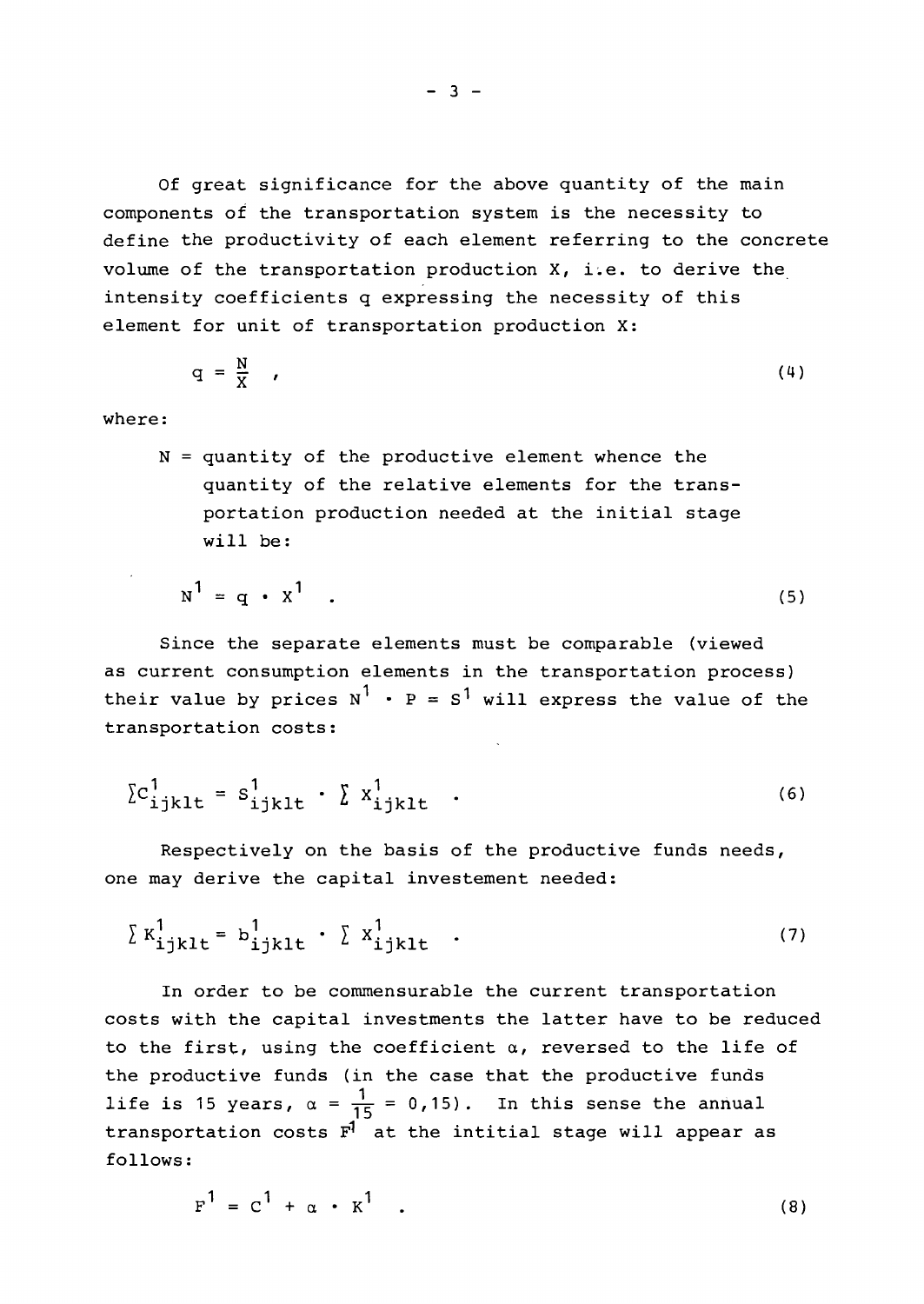Of great significance for the above quantity of the main components of the transportation system is the necessity to define the productivity of each element referring to the concrete volume of the transportation production  $X$ , i.e. to derive the intensity coefficients <sup>q</sup> expressing the necessity of this element for unit of transportation production X:

$$
q = \frac{N}{X} \qquad (4)
$$

where:

 $N =$  quantity of the productive element whence the quantity of the relative elements for the transportation production needed at the initial stage will be:

$$
N^1 = q \cdot X^1 \quad . \tag{5}
$$

Since the separate elements must be comparable (viewed as current consumption elements in the transportation process) their value by prices  $N^1 \cdot P = S^1$  will express the value of the transportation costs:

$$
\sum_{i,jklt} = s_{ijklt}^1 \cdot \sum_{ijklt} x_{ijklt}^1 \quad . \tag{6}
$$

Respectively on the basis of the productive funds needs, one may derive the capital investement needed:

$$
\sum K_{ijklt}^{1} = b_{ijklt}^{1} \cdot \sum X_{ijklt}^{1}
$$
 (7)

In order to be commensurable the current transportation costs with the capital investments the latter have to be reduced to the first, using the coefficient  $\alpha$ , reversed to the life of the productive funds (in the case that the productive funds life is 15 years,  $\alpha = \frac{1}{15} = 0.15$ . In this sense the annual transportation costs  $F^T$  at the intitial stage will appear as follows:

$$
F1 = C1 + \alpha \cdot K1
$$
 (8)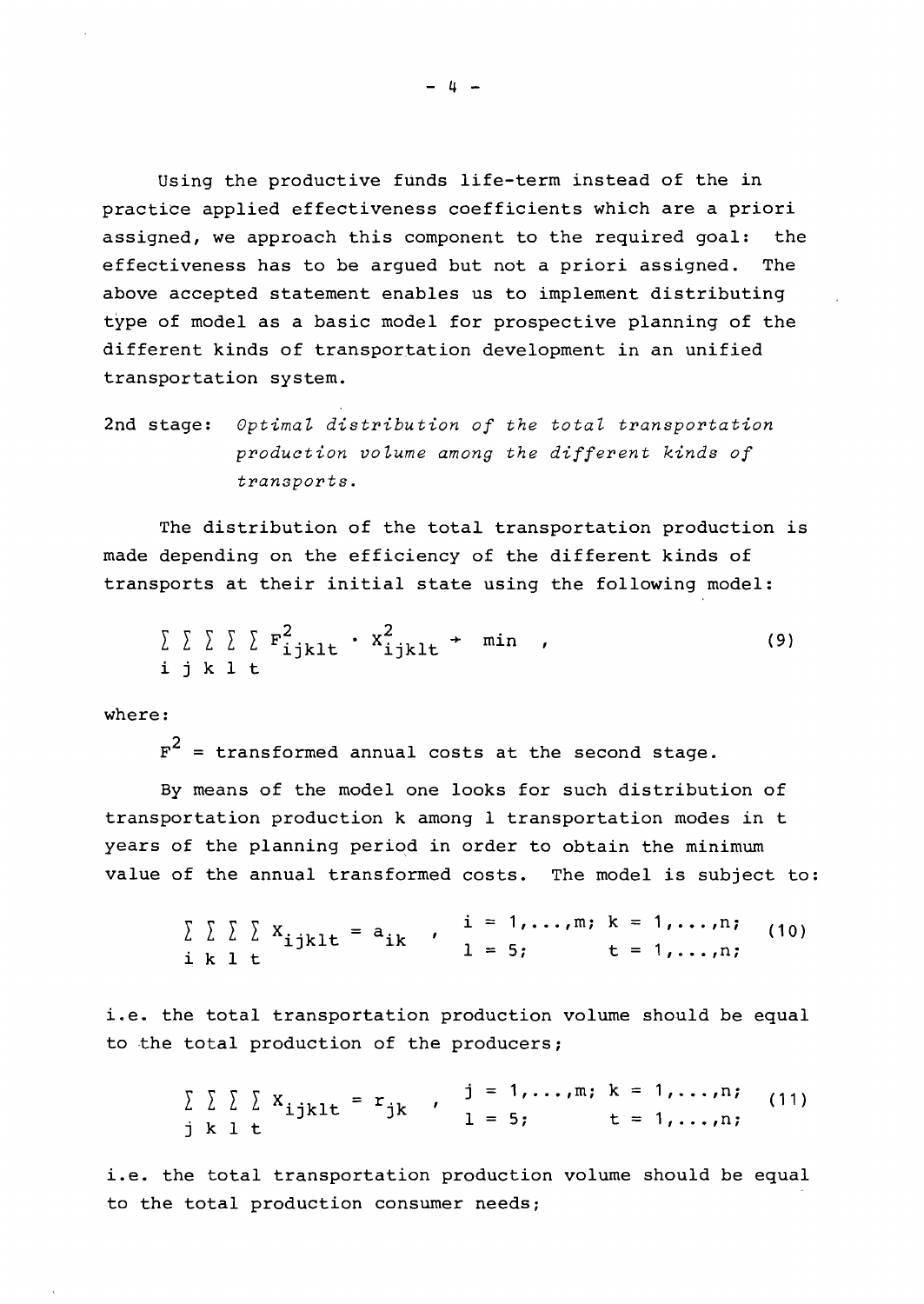Using the productive funds life-term instead of the in practice applied effectiveness coefficients which are <sup>a</sup> priori assigned, we approach this component to the required goal: the effectiveness has to be argued but not <sup>a</sup> priori assigned. The above accepted statement enables us to implement distributing type of model as a basic model for prospective planning of the different kinds of transportation development in an unified transportation system.

2nd stage: *OptimaL distribution of the total transportation production voLume among the different kinds of transports.*

The distribution of the total transportation production is made depending on the efficiency of the different kinds of transports at their initial state using the following model:

*L L L L L* i j kIt 2 Fijklt 2 Xijklt -+ min (9)

where:

 $F^2$  = transformed annual costs at the second stage.

By means of the model one looks for such distribution of transportation production k among 1 transportation modes in t years of the planning period in order to obtain the minimum value of the annual transformed costs. The model is subject to:

$$
\sum \sum \sum \sum x_{ijklt} = a_{ik} , i = 1,...,m; k = 1,...,n; (10)
$$
  
i k l t (10)

i.e. the total transportation production volume should be equal to the total production of the producers;

$$
\sum \sum \sum \sum x_{ijklt} = r_{jk} , \quad j = 1,...,m; k = 1,...,n; (11)
$$
  
j k l t

i.e. the total transportation production volume should be equal to the total production consumer needs;

- 4 -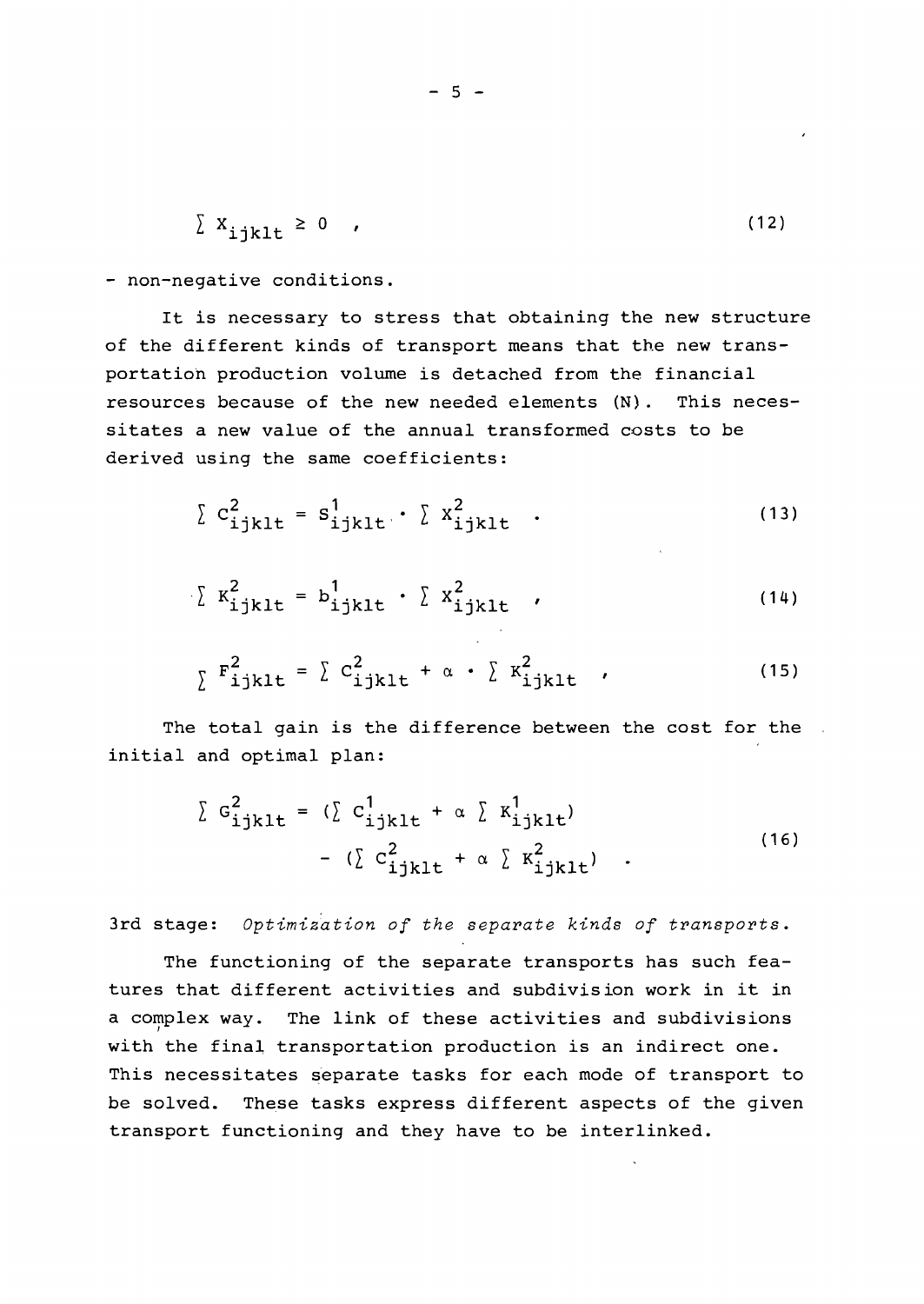$$
\sum_{i} X_{i,jklt} \ge 0 \qquad (12)
$$

- non-negative conditions.

It is necessary to stress that obtaining the new structure of the different kinds of transport means that the new transportation production volume is detached from the financial resources because of the new needed elements (N). This necessitates <sup>a</sup> new value of the annual transformed costs to be derived using the same coefficients:

$$
\sum c_{ijklt}^2 = s_{ijklt}^1 \cdot \sum x_{ijklt}^2 \quad .
$$
 (13)

$$
\sum K_{ijklt}^2 = b_{ijklt}^1 \cdot \sum X_{ijklt}^2 \tag{14}
$$

$$
\sum_{\lambda} \mathbf{F}_{\text{ijklt}}^2 = \sum_{\lambda} \mathbf{C}_{\text{ijklt}}^2 + \alpha \cdot \sum_{\lambda} \mathbf{K}_{\text{ijklt}}^2 \tag{15}
$$

The total gain is the difference between the cost for the initial and optimal plan:

$$
\sum G_{ijklt}^{2} = (\sum C_{ijklt}^{1} + \alpha \sum K_{ijklt}^{1})
$$
  
- (\sum C\_{ijklt}^{2} + \alpha \sum K\_{ijklt}^{2}) . (16)

3rd stage: *Optimization of the separate kinds of transports.*

The functioning of the separate transports has such features that different activities and subdivision work in it in a complex way. The link of these activities and subdivisions with the final transportation production is an indirect one. This necessitates separate tasks for each mode of transport to be solved. These tasks express different aspects of the given transport functioning and they have to be interlinked.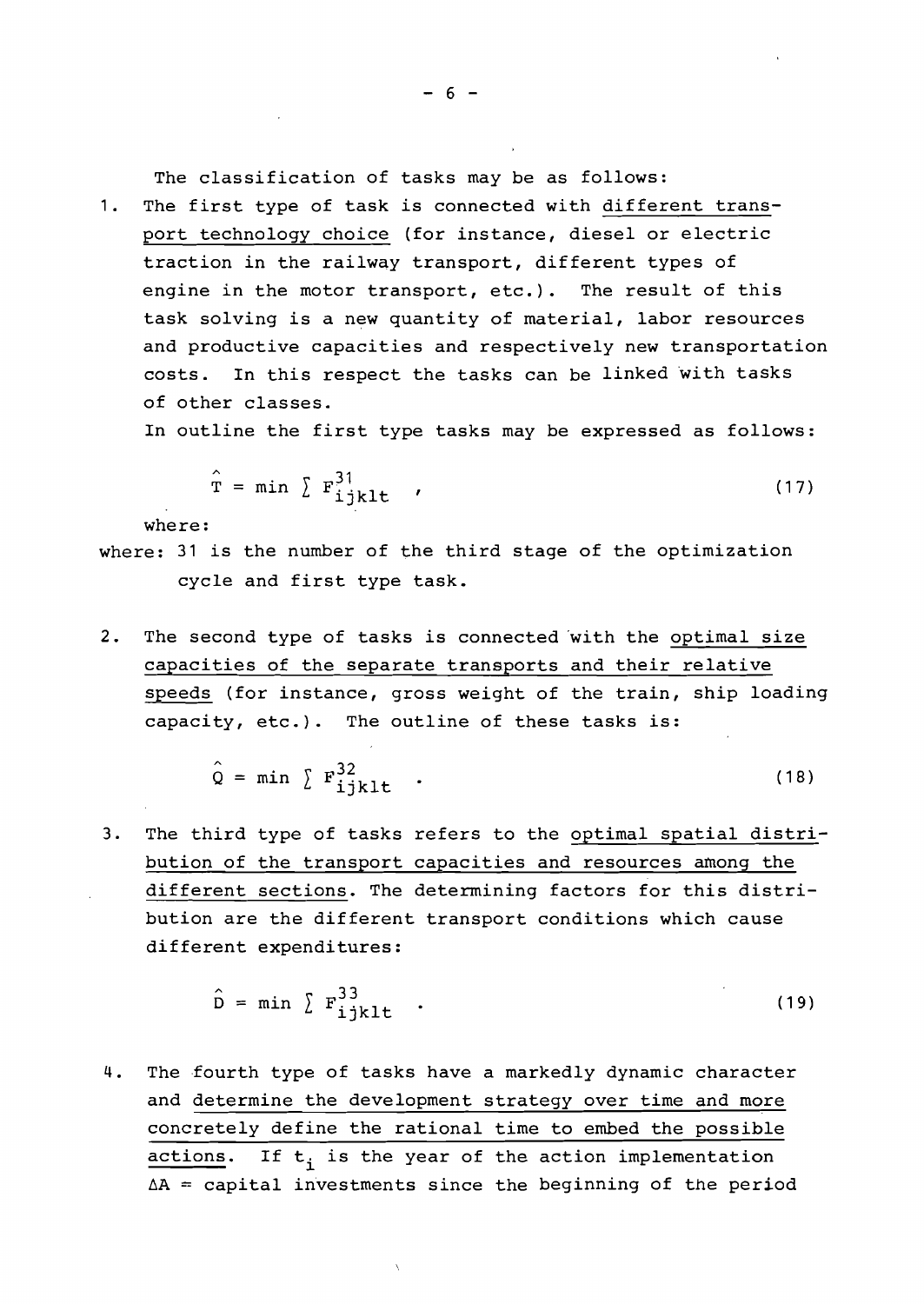The classification of tasks may be as follows:

1. The first type of task is connected with different transport technology choice (for instance, diesel or electric traction in the railway transport, different types of engine in the motor transport, etc.). The result of this task solving is <sup>a</sup> new quantity of material, labor resources and productive capacities and respectively new transportation costs. In this respect the tasks can be linked with tasks of other classes.

In outline the first type tasks may be expressed as follows:

$$
\hat{\mathbf{T}} = \min \sum_{i} \mathbf{F}_{ijkl}^{31} \tag{17}
$$

where:

- where: <sup>31</sup> is the number of the third stage of the optimization cycle and first type task.
- 2. The second type of tasks is connected 'with the optimal size capacities of the separate transports and their relative speeds (for instance, gross weight of the train, ship loading capacity, etc.). The outline of these tasks is:

$$
\hat{Q} = \min \sum_{i} F_{ijkl}^{32}.
$$
 (18)

3. The third type of tasks refers to the optimal spatial distribution of the transport capacities and resources among the different sections. The determining factors for this distribution are the different transport conditions which cause different expenditures:

$$
\hat{D} = \min \sum_{i} F_{ijkl}^{33} \tag{19}
$$

4. The fourth type of tasks have a markedly dynamic character and determine the development strategy over time and more concretely define the rational time to embed the possible actions. If  $t_i$  is the year of the action implementation  $\Delta A$  = capital investments since the beginning of the period

 $- 6 -$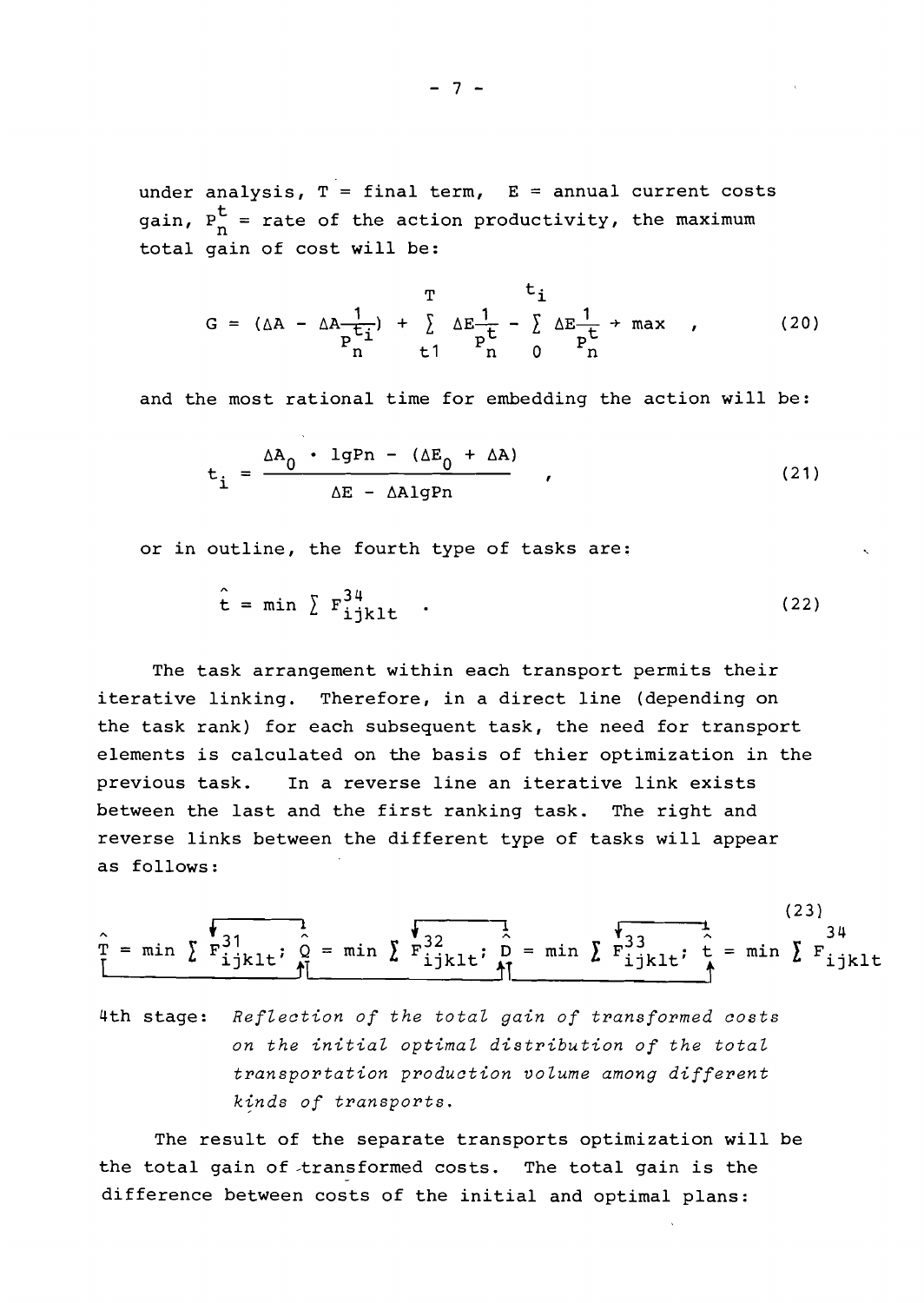under analysis, T = final term, E = annual current costs gain,  $P_{n}^{t}$  = rate of the action productivity, the maximum total gain of cost will be:

$$
G = (\Delta A - \Delta A \frac{1}{P_1^{t_i}}) + \sum_{t=1}^{T} \Delta E \frac{1}{P_1^{t}} - \sum_{t=0}^{t_i} \Delta E \frac{1}{P_1^{t}} + \max_{t=0} , \qquad (20)
$$

and the most rational time for embedding the action will be:

$$
t_{i} = \frac{\Delta A_{0} \cdot 1gPn - (\Delta E_{0} + \Delta A)}{\Delta E - \Delta A1gPn}, \qquad (21)
$$

or in outline, the fourth type of tasks are:

$$
\hat{\mathbf{t}} = \min \; \sum \; \mathbf{F}_{\mathbf{ijkl}}^{34} \quad . \tag{22}
$$

The task arrangement within each transport permits their iterative linking. Therefore, in <sup>a</sup> direct line (depending on the task rank) for each subsequent task, the need for transport elements is calculated on the basis of thier optimization in the previous task. In <sup>a</sup> reverse line an iterative link exists between the last and the first ranking task. The right and reverse links between the different type of tasks will appear as follows:

$$
\hat{T} = \min \sum \vec{F}_{ijklt}^{31} \cdot \hat{Q} = \min \sum \vec{F}_{ijklt}^{32} \cdot \hat{D} = \min \sum \vec{F}_{ijklt}^{33} \cdot \hat{C} = \min \sum \vec{F}_{ijklt}^{34}
$$

4th stage: *RefZection of the totaZ gain of transformed costs on the initiaZ optimaZ distribution of the totaZ transportation production voZume among different*  $k~in~ds$  of *transports*.

The result of the separate transports optimization will be the total gain of -transformed costs. The total gain is the difference between costs of the initial and optimal plans: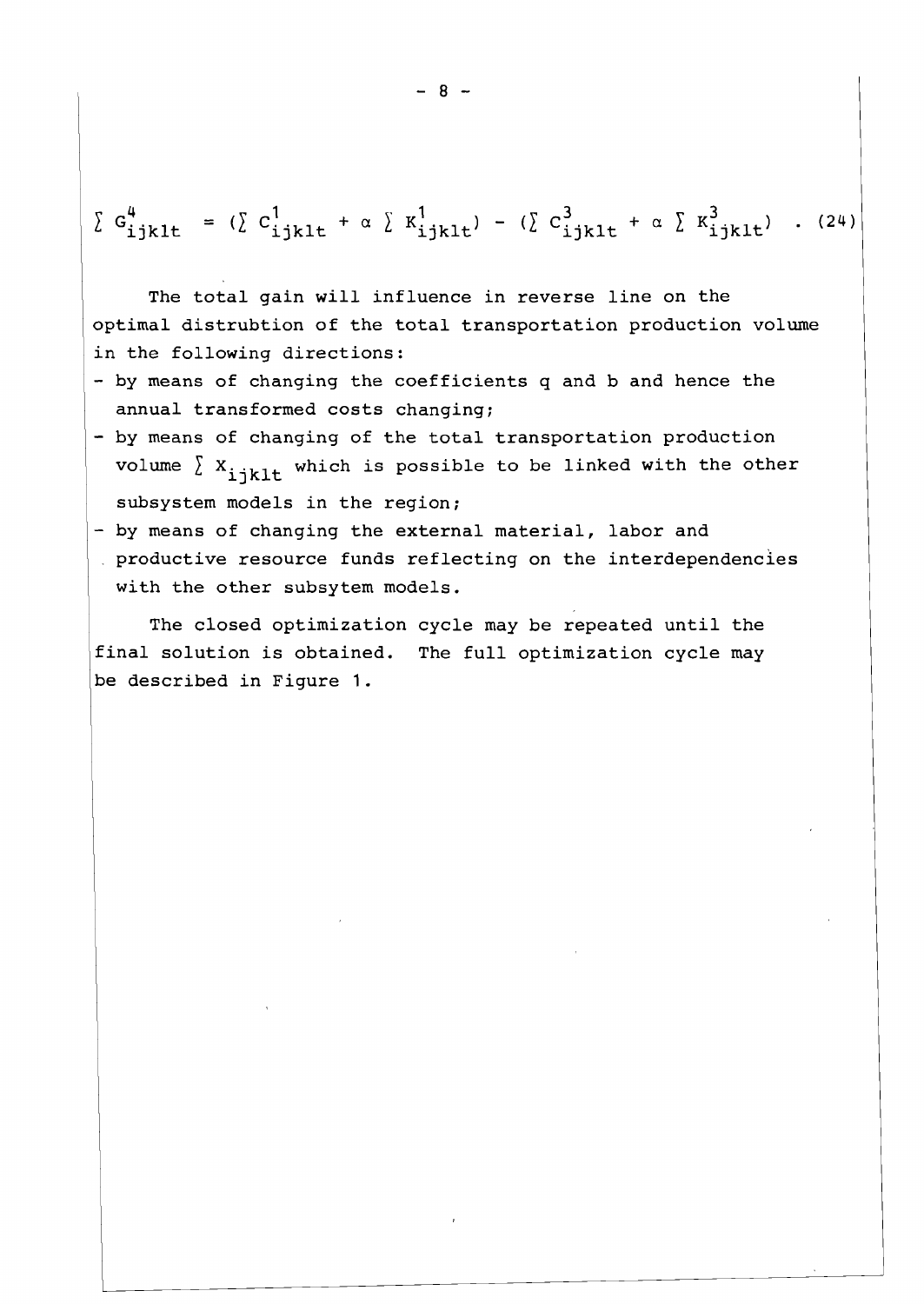$$
\sum G_{ijklt}^4 = (\sum C_{ijklt}^1 + \alpha \sum K_{ijklt}^1) - (\sum C_{ijklt}^3 + \alpha \sum K_{ijklt}^3) . (24)
$$

The total gain will influence in reverse line on the optimal distrubtion of the total transportation production volume in the following directions:

- by means of changing the coefficients q and b and hence the annual transformed costs changing;
- by means of changing of the total transportation production volume  $\sum X_{i}$ <sub>iklt</sub> which is possible to be linked with the other subsystem models in the region;
- by means of changing the external material, labor and
- productive resource funds reflecting on the interdependencies with the other subsytem models.

The closed optimization cycle may be repeated until the final solution is obtained. The full optimization cycle may be described in Figure 1.

 $- 8 -$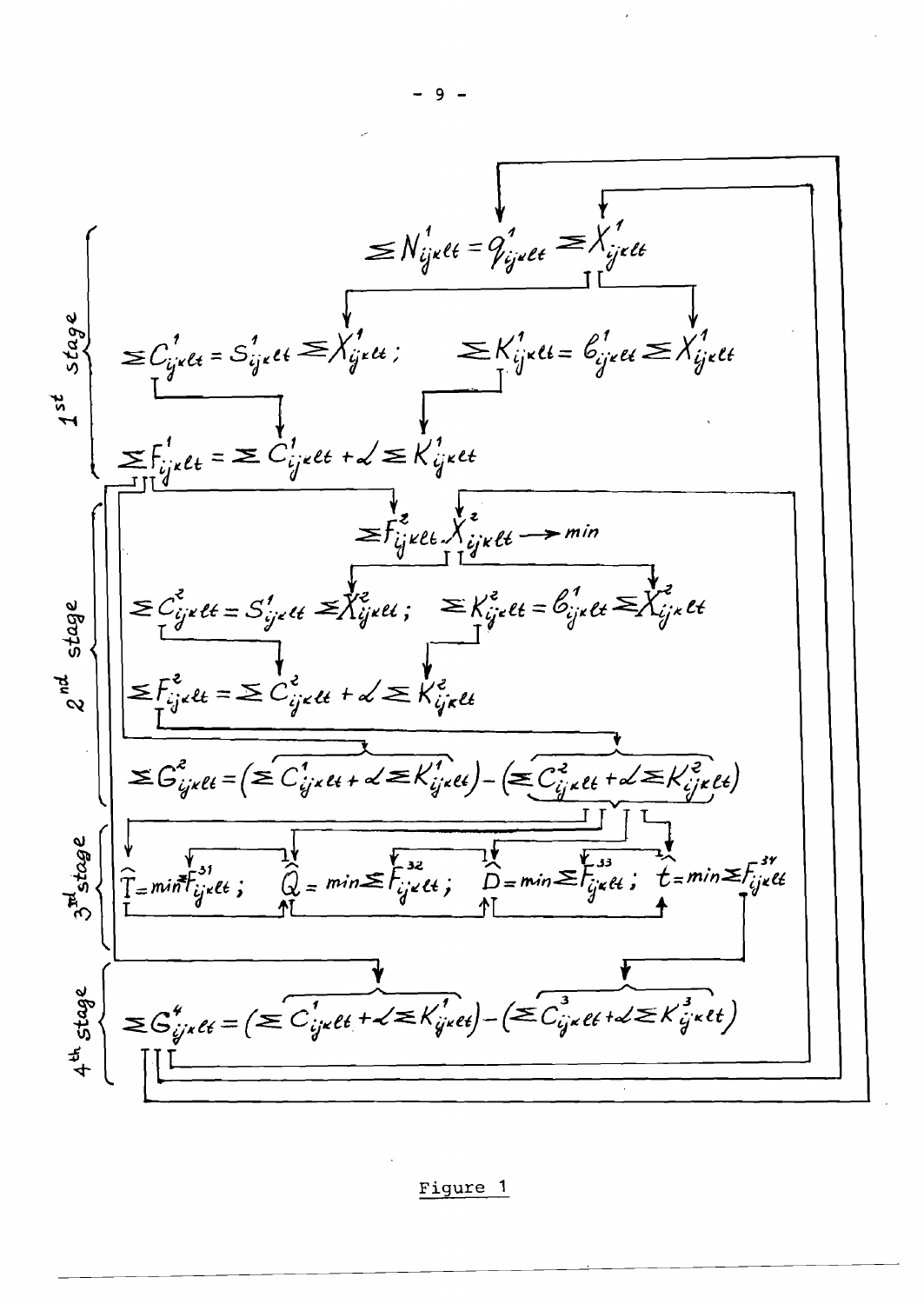

Figure **<sup>1</sup>**